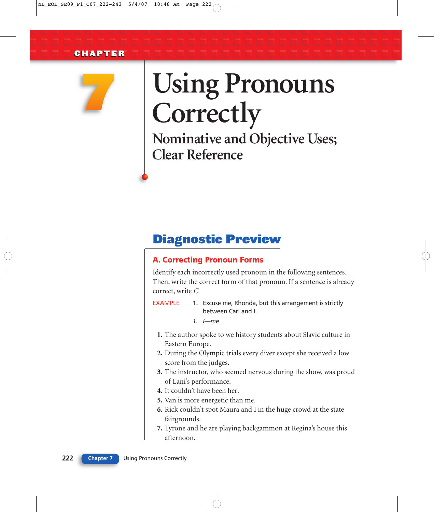

# **Using Pronouns Correctly**

**Nominative and Objective Uses; Clear Reference**

### Diagnostic Preview

#### **A. Correcting Pronoun Forms**

Identify each incorrectly used pronoun in the following sentences. Then, write the correct form of that pronoun. If a sentence is already correct, write *C.*

**EXAMPLE** 1. Excuse me, Rhonda, but this arrangement is strictly between Carl and I.

*1. I—me*

- **1.** The author spoke to we history students about Slavic culture in Eastern Europe.
- **2.** During the Olympic trials every diver except she received a low score from the judges.
- **3.** The instructor, who seemed nervous during the show, was proud of Lani's performance.
- **4.** It couldn't have been her.
- **5.** Van is more energetic than me.
- **6.** Rick couldn't spot Maura and I in the huge crowd at the state fairgrounds.
- **7.** Tyrone and he are playing backgammon at Regina's house this afternoon.